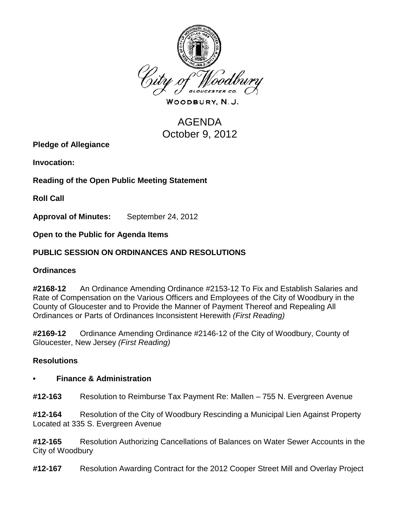

WOODBURY, N.J.

# AGENDA October 9, 2012

**Pledge of Allegiance**

**Invocation:** 

**Reading of the Open Public Meeting Statement**

**Roll Call**

**Approval of Minutes:** September 24, 2012

**Open to the Public for Agenda Items**

# **PUBLIC SESSION ON ORDINANCES AND RESOLUTIONS**

# **Ordinances**

**#2168-12** An Ordinance Amending Ordinance #2153-12 To Fix and Establish Salaries and Rate of Compensation on the Various Officers and Employees of the City of Woodbury in the County of Gloucester and to Provide the Manner of Payment Thereof and Repealing All Ordinances or Parts of Ordinances Inconsistent Herewith *(First Reading)*

**#2169-12** Ordinance Amending Ordinance #2146-12 of the City of Woodbury, County of Gloucester, New Jersey *(First Reading)*

# **Resolutions**

#### **• Finance & Administration**

**#12-163** Resolution to Reimburse Tax Payment Re: Mallen – 755 N. Evergreen Avenue

**#12-164** Resolution of the City of Woodbury Rescinding a Municipal Lien Against Property Located at 335 S. Evergreen Avenue

**#12-165** Resolution Authorizing Cancellations of Balances on Water Sewer Accounts in the City of Woodbury

**#12-167** Resolution Awarding Contract for the 2012 Cooper Street Mill and Overlay Project